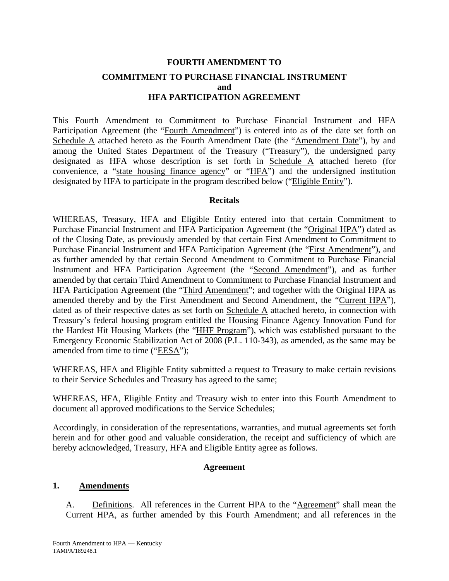# **FOURTH AMENDMENT TO COMMITMENT TO PURCHASE FINANCIAL INSTRUMENT and HFA PARTICIPATION AGREEMENT**

This Fourth Amendment to Commitment to Purchase Financial Instrument and HFA Participation Agreement (the "Fourth Amendment") is entered into as of the date set forth on Schedule A attached hereto as the Fourth Amendment Date (the "Amendment Date"), by and among the United States Department of the Treasury ("Treasury"), the undersigned party designated as HFA whose description is set forth in Schedule A attached hereto (for convenience, a "state housing finance agency" or "HFA") and the undersigned institution designated by HFA to participate in the program described below ("Eligible Entity").

## **Recitals**

WHEREAS, Treasury, HFA and Eligible Entity entered into that certain Commitment to Purchase Financial Instrument and HFA Participation Agreement (the "Original HPA") dated as of the Closing Date, as previously amended by that certain First Amendment to Commitment to Purchase Financial Instrument and HFA Participation Agreement (the "First Amendment"), and as further amended by that certain Second Amendment to Commitment to Purchase Financial Instrument and HFA Participation Agreement (the "Second Amendment"), and as further amended by that certain Third Amendment to Commitment to Purchase Financial Instrument and HFA Participation Agreement (the "Third Amendment"; and together with the Original HPA as amended thereby and by the First Amendment and Second Amendment, the "Current HPA"), dated as of their respective dates as set forth on Schedule A attached hereto, in connection with Treasury's federal housing program entitled the Housing Finance Agency Innovation Fund for the Hardest Hit Housing Markets (the "HHF Program"), which was established pursuant to the Emergency Economic Stabilization Act of 2008 (P.L. 110-343), as amended, as the same may be amended from time to time ("EESA");

WHEREAS, HFA and Eligible Entity submitted a request to Treasury to make certain revisions to their Service Schedules and Treasury has agreed to the same;

WHEREAS, HFA, Eligible Entity and Treasury wish to enter into this Fourth Amendment to document all approved modifications to the Service Schedules;

Accordingly, in consideration of the representations, warranties, and mutual agreements set forth herein and for other good and valuable consideration, the receipt and sufficiency of which are hereby acknowledged, Treasury, HFA and Eligible Entity agree as follows.

### **Agreement**

### **1. Amendments**

A. Definitions. All references in the Current HPA to the "Agreement" shall mean the Current HPA, as further amended by this Fourth Amendment; and all references in the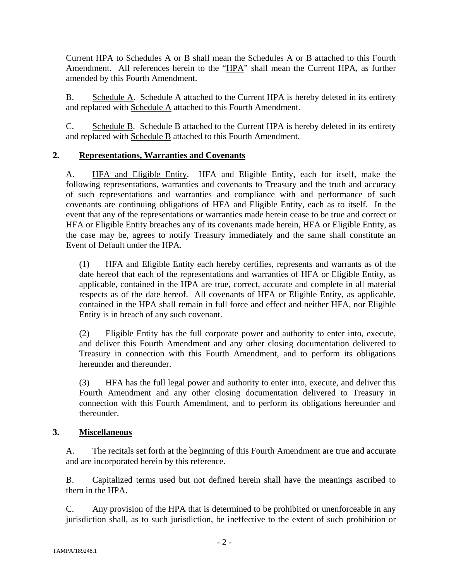Current HPA to Schedules A or B shall mean the Schedules A or B attached to this Fourth Amendment. All references herein to the "HPA" shall mean the Current HPA, as further amended by this Fourth Amendment.

B. Schedule A. Schedule A attached to the Current HPA is hereby deleted in its entirety and replaced with Schedule A attached to this Fourth Amendment.

C. Schedule B. Schedule B attached to the Current HPA is hereby deleted in its entirety and replaced with Schedule B attached to this Fourth Amendment.

# **2. Representations, Warranties and Covenants**

A. HFA and Eligible Entity. HFA and Eligible Entity, each for itself, make the following representations, warranties and covenants to Treasury and the truth and accuracy of such representations and warranties and compliance with and performance of such covenants are continuing obligations of HFA and Eligible Entity, each as to itself. In the event that any of the representations or warranties made herein cease to be true and correct or HFA or Eligible Entity breaches any of its covenants made herein, HFA or Eligible Entity, as the case may be, agrees to notify Treasury immediately and the same shall constitute an Event of Default under the HPA.

(1) HFA and Eligible Entity each hereby certifies, represents and warrants as of the date hereof that each of the representations and warranties of HFA or Eligible Entity, as applicable, contained in the HPA are true, correct, accurate and complete in all material respects as of the date hereof. All covenants of HFA or Eligible Entity, as applicable, contained in the HPA shall remain in full force and effect and neither HFA, nor Eligible Entity is in breach of any such covenant.

(2) Eligible Entity has the full corporate power and authority to enter into, execute, and deliver this Fourth Amendment and any other closing documentation delivered to Treasury in connection with this Fourth Amendment, and to perform its obligations hereunder and thereunder.

(3) HFA has the full legal power and authority to enter into, execute, and deliver this Fourth Amendment and any other closing documentation delivered to Treasury in connection with this Fourth Amendment, and to perform its obligations hereunder and thereunder.

## **3. Miscellaneous**

A. The recitals set forth at the beginning of this Fourth Amendment are true and accurate and are incorporated herein by this reference.

B. Capitalized terms used but not defined herein shall have the meanings ascribed to them in the HPA.

C. Any provision of the HPA that is determined to be prohibited or unenforceable in any jurisdiction shall, as to such jurisdiction, be ineffective to the extent of such prohibition or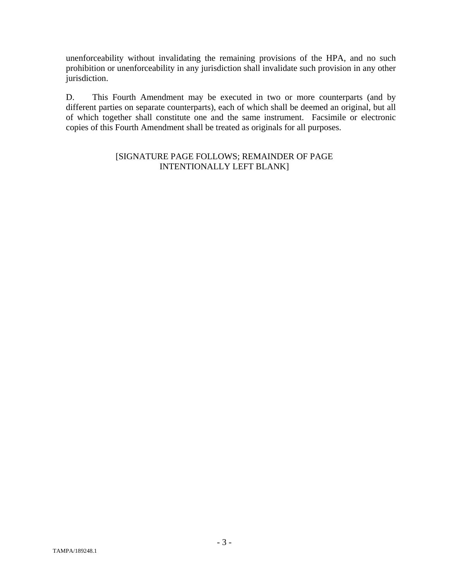unenforceability without invalidating the remaining provisions of the HPA, and no such prohibition or unenforceability in any jurisdiction shall invalidate such provision in any other jurisdiction.

D. This Fourth Amendment may be executed in two or more counterparts (and by different parties on separate counterparts), each of which shall be deemed an original, but all of which together shall constitute one and the same instrument. Facsimile or electronic copies of this Fourth Amendment shall be treated as originals for all purposes.

## [SIGNATURE PAGE FOLLOWS; REMAINDER OF PAGE INTENTIONALLY LEFT BLANK]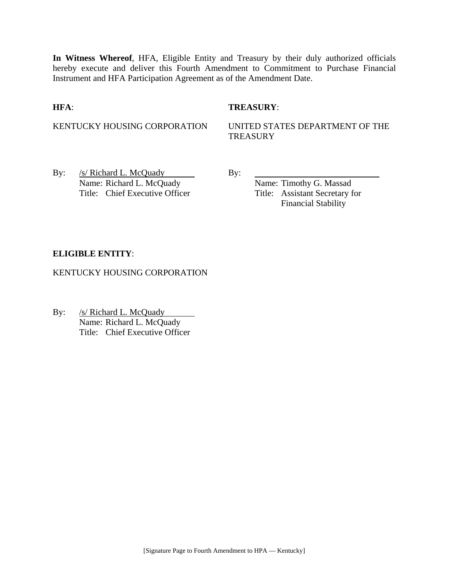**In Witness Whereof**, HFA, Eligible Entity and Treasury by their duly authorized officials hereby execute and deliver this Fourth Amendment to Commitment to Purchase Financial Instrument and HFA Participation Agreement as of the Amendment Date.

## **HFA**: **TREASURY**:

KENTUCKY HOUSING CORPORATION UNITED STATES DEPARTMENT OF THE **TREASURY** 

By:  $/s/Richard L. McQuady$  By: Name: Richard L. McQuady Name: Timothy G. Massad Title: Chief Executive Officer Title: Assistant Secretary for

Financial Stability

## **ELIGIBLE ENTITY**:

KENTUCKY HOUSING CORPORATION

By: /s/ Richard L. McQuady  $\overline{\phantom{a}}$ Name: Richard L. McQuady Title: Chief Executive Officer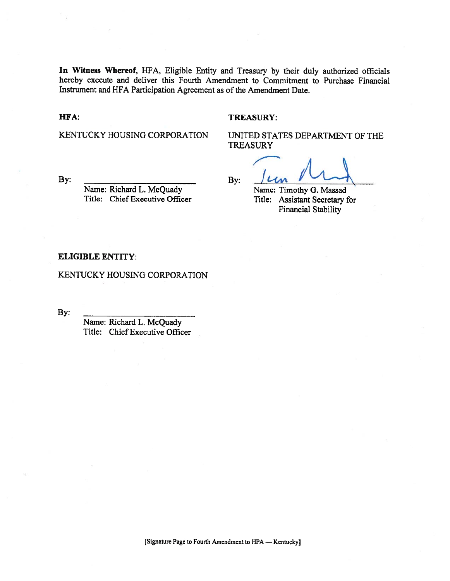In Witness Whereof, HFA, Eligible Entity and Treasury by their duly authorized officials hereby execute and deliver this Fourth Amendment to Commitment to Purchase Financial Instrument and HFA Participation Agreement as of the Amendment Date.

#### HFA:

#### **TREASURY:**

KENTUCKY HOUSING CORPORATION

UNITED STATES DEPARTMENT OF THE **TREASURY** 

By:

Name: Richard L. McQuady Title: Chief Executive Officer

By:

Name: Timothy G. Massad Title: Assistant Secretary for Financial Stability

#### **ELIGIBLE ENTITY:**

KENTUCKY HOUSING CORPORATION

By:

Name: Richard L. McQuady Title: Chief Executive Officer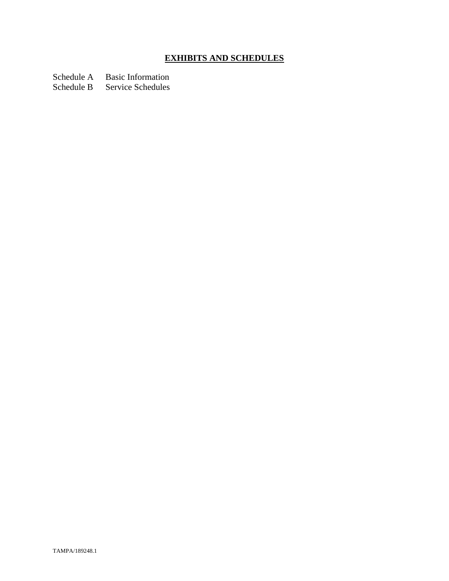# **EXHIBITS AND SCHEDULES**

Schedule A Basic Information

Schedule B Service Schedules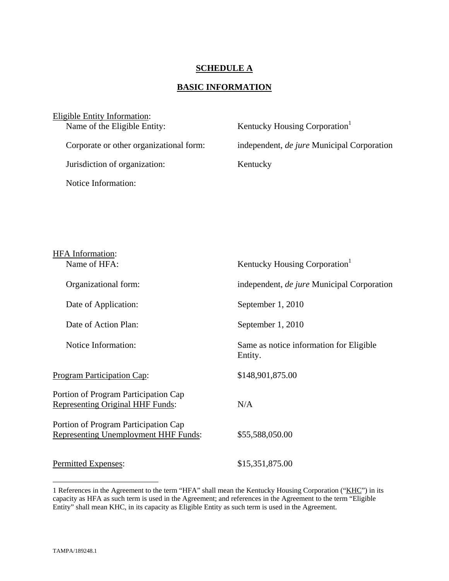## **SCHEDULE A**

# **BASIC INFORMATION**

| Eligible Entity Information:            |                                                   |
|-----------------------------------------|---------------------------------------------------|
| Name of the Eligible Entity:            | Kentucky Housing Corporation <sup>1</sup>         |
|                                         |                                                   |
| Corporate or other organizational form: | independent, <i>de jure</i> Municipal Corporation |
|                                         |                                                   |
| Jurisdiction of organization:           | Kentucky                                          |
|                                         |                                                   |
| Notice Information:                     |                                                   |
|                                         |                                                   |

| <b>HFA</b> Information:<br>Name of HFA:                                             | Kentucky Housing Corporation <sup>1</sup>          |
|-------------------------------------------------------------------------------------|----------------------------------------------------|
| Organizational form:                                                                | independent, <i>de jure</i> Municipal Corporation  |
| Date of Application:                                                                | September 1, 2010                                  |
| Date of Action Plan:                                                                | September 1, 2010                                  |
| Notice Information:                                                                 | Same as notice information for Eligible<br>Entity. |
| <b>Program Participation Cap:</b>                                                   | \$148,901,875.00                                   |
| Portion of Program Participation Cap<br>Representing Original HHF Funds:            | N/A                                                |
| Portion of Program Participation Cap<br><b>Representing Unemployment HHF Funds:</b> | \$55,588,050.00                                    |
| Permitted Expenses:                                                                 | \$15,351,875.00                                    |
|                                                                                     |                                                    |

<sup>1</sup> References in the Agreement to the term "HFA" shall mean the Kentucky Housing Corporation ("KHC") in its capacity as HFA as such term is used in the Agreement; and references in the Agreement to the term "Eligible Entity" shall mean KHC, in its capacity as Eligible Entity as such term is used in the Agreement.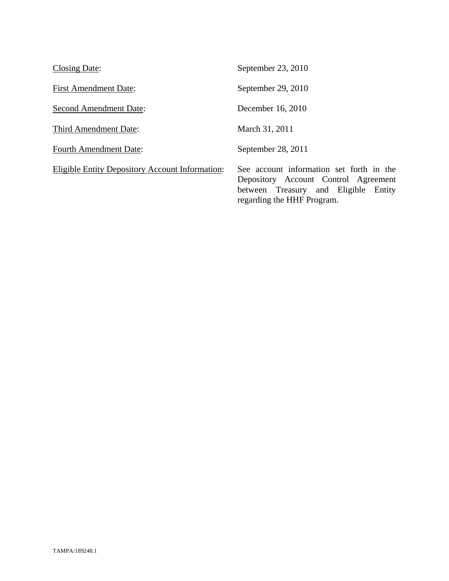| Closing Date:                                          | September 23, 2010                                                      |
|--------------------------------------------------------|-------------------------------------------------------------------------|
| <b>First Amendment Date:</b>                           | September 29, 2010                                                      |
| <b>Second Amendment Date:</b>                          | December 16, 2010                                                       |
| Third Amendment Date:                                  | March 31, 2011                                                          |
| <b>Fourth Amendment Date:</b>                          | September 28, 2011                                                      |
| <b>Eligible Entity Depository Account Information:</b> | See account information<br>Depository Account C<br>hetween Treasury and |

In set forth in the Control Agreement between Treasury and Eligible Entity regarding the HHF Program.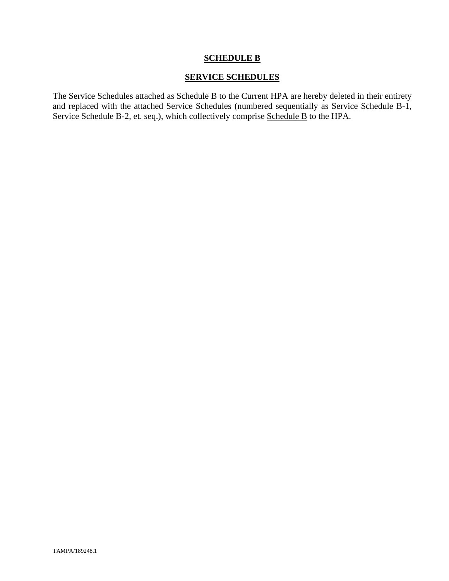# **SCHEDULE B**

## **SERVICE SCHEDULES**

The Service Schedules attached as Schedule B to the Current HPA are hereby deleted in their entirety and replaced with the attached Service Schedules (numbered sequentially as Service Schedule B-1, Service Schedule B-2, et. seq.), which collectively comprise Schedule B to the HPA.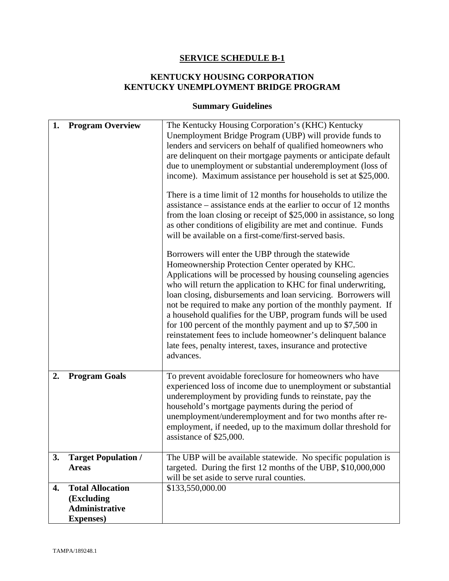# **SERVICE SCHEDULE B-1**

# **KENTUCKY HOUSING CORPORATION KENTUCKY UNEMPLOYMENT BRIDGE PROGRAM**

# **Summary Guidelines**

| 1. | <b>Program Overview</b>                    | The Kentucky Housing Corporation's (KHC) Kentucky<br>Unemployment Bridge Program (UBP) will provide funds to<br>lenders and servicers on behalf of qualified homeowners who<br>are delinquent on their mortgage payments or anticipate default<br>due to unemployment or substantial underemployment (loss of<br>income). Maximum assistance per household is set at \$25,000.<br>There is a time limit of 12 months for households to utilize the<br>assistance – assistance ends at the earlier to occur of 12 months<br>from the loan closing or receipt of \$25,000 in assistance, so long<br>as other conditions of eligibility are met and continue. Funds<br>will be available on a first-come/first-served basis.<br>Borrowers will enter the UBP through the statewide<br>Homeownership Protection Center operated by KHC.<br>Applications will be processed by housing counseling agencies<br>who will return the application to KHC for final underwriting,<br>loan closing, disbursements and loan servicing. Borrowers will<br>not be required to make any portion of the monthly payment. If<br>a household qualifies for the UBP, program funds will be used<br>for 100 percent of the monthly payment and up to $$7,500$ in<br>reinstatement fees to include homeowner's delinquent balance<br>late fees, penalty interest, taxes, insurance and protective<br>advances. |
|----|--------------------------------------------|------------------------------------------------------------------------------------------------------------------------------------------------------------------------------------------------------------------------------------------------------------------------------------------------------------------------------------------------------------------------------------------------------------------------------------------------------------------------------------------------------------------------------------------------------------------------------------------------------------------------------------------------------------------------------------------------------------------------------------------------------------------------------------------------------------------------------------------------------------------------------------------------------------------------------------------------------------------------------------------------------------------------------------------------------------------------------------------------------------------------------------------------------------------------------------------------------------------------------------------------------------------------------------------------------------------------------------------------------------------------------------------|
| 2. | <b>Program Goals</b>                       | To prevent avoidable foreclosure for homeowners who have<br>experienced loss of income due to unemployment or substantial<br>underemployment by providing funds to reinstate, pay the<br>household's mortgage payments during the period of<br>unemployment/underemployment and for two months after re-<br>employment, if needed, up to the maximum dollar threshold for<br>assistance of \$25,000.                                                                                                                                                                                                                                                                                                                                                                                                                                                                                                                                                                                                                                                                                                                                                                                                                                                                                                                                                                                     |
| 3. | <b>Target Population /</b><br><b>Areas</b> | The UBP will be available statewide. No specific population is<br>targeted. During the first 12 months of the UBP, \$10,000,000<br>will be set aside to serve rural counties.                                                                                                                                                                                                                                                                                                                                                                                                                                                                                                                                                                                                                                                                                                                                                                                                                                                                                                                                                                                                                                                                                                                                                                                                            |
| 4. | <b>Total Allocation</b>                    | \$133,550,000.00                                                                                                                                                                                                                                                                                                                                                                                                                                                                                                                                                                                                                                                                                                                                                                                                                                                                                                                                                                                                                                                                                                                                                                                                                                                                                                                                                                         |
|    | (Excluding                                 |                                                                                                                                                                                                                                                                                                                                                                                                                                                                                                                                                                                                                                                                                                                                                                                                                                                                                                                                                                                                                                                                                                                                                                                                                                                                                                                                                                                          |
|    | <b>Administrative</b>                      |                                                                                                                                                                                                                                                                                                                                                                                                                                                                                                                                                                                                                                                                                                                                                                                                                                                                                                                                                                                                                                                                                                                                                                                                                                                                                                                                                                                          |
|    | <b>Expenses</b> )                          |                                                                                                                                                                                                                                                                                                                                                                                                                                                                                                                                                                                                                                                                                                                                                                                                                                                                                                                                                                                                                                                                                                                                                                                                                                                                                                                                                                                          |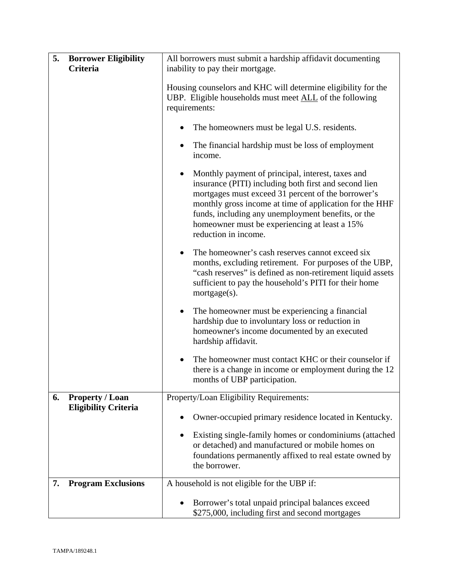| 5. | <b>Borrower Eligibility</b><br>Criteria               | All borrowers must submit a hardship affidavit documenting<br>inability to pay their mortgage.                                                                                                                                                                                                                                                                          |  |
|----|-------------------------------------------------------|-------------------------------------------------------------------------------------------------------------------------------------------------------------------------------------------------------------------------------------------------------------------------------------------------------------------------------------------------------------------------|--|
|    |                                                       | Housing counselors and KHC will determine eligibility for the<br>UBP. Eligible households must meet ALL of the following<br>requirements:                                                                                                                                                                                                                               |  |
|    |                                                       | The homeowners must be legal U.S. residents.                                                                                                                                                                                                                                                                                                                            |  |
|    |                                                       | The financial hardship must be loss of employment<br>income.                                                                                                                                                                                                                                                                                                            |  |
|    |                                                       | Monthly payment of principal, interest, taxes and<br>$\bullet$<br>insurance (PITI) including both first and second lien<br>mortgages must exceed 31 percent of the borrower's<br>monthly gross income at time of application for the HHF<br>funds, including any unemployment benefits, or the<br>homeowner must be experiencing at least a 15%<br>reduction in income. |  |
|    |                                                       | The homeowner's cash reserves cannot exceed six<br>$\bullet$<br>months, excluding retirement. For purposes of the UBP,<br>"cash reserves" is defined as non-retirement liquid assets<br>sufficient to pay the household's PITI for their home<br>mortgage(s).                                                                                                           |  |
|    |                                                       | The homeowner must be experiencing a financial<br>$\bullet$<br>hardship due to involuntary loss or reduction in<br>homeowner's income documented by an executed<br>hardship affidavit.                                                                                                                                                                                  |  |
|    |                                                       | The homeowner must contact KHC or their counselor if<br>$\bullet$<br>there is a change in income or employment during the 12<br>months of UBP participation.                                                                                                                                                                                                            |  |
| 6. | <b>Property / Loan</b><br><b>Eligibility Criteria</b> | Property/Loan Eligibility Requirements:                                                                                                                                                                                                                                                                                                                                 |  |
|    |                                                       | Owner-occupied primary residence located in Kentucky.                                                                                                                                                                                                                                                                                                                   |  |
|    |                                                       | Existing single-family homes or condominiums (attached<br>$\bullet$<br>or detached) and manufactured or mobile homes on<br>foundations permanently affixed to real estate owned by<br>the borrower.                                                                                                                                                                     |  |
| 7. | <b>Program Exclusions</b>                             | A household is not eligible for the UBP if:                                                                                                                                                                                                                                                                                                                             |  |
|    |                                                       | Borrower's total unpaid principal balances exceed<br>\$275,000, including first and second mortgages                                                                                                                                                                                                                                                                    |  |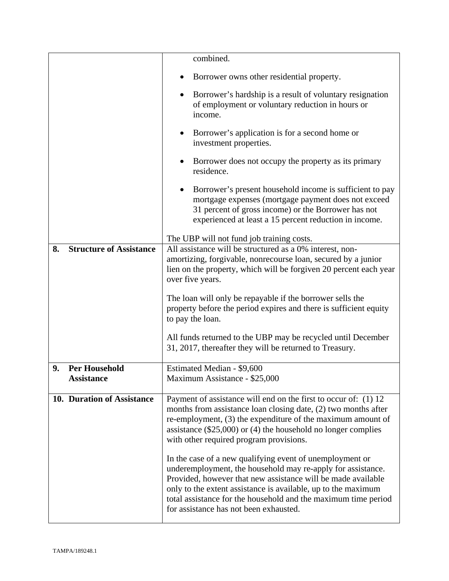|                                          | combined.                                                                                                                                                                                                                                                                                                                                                            |
|------------------------------------------|----------------------------------------------------------------------------------------------------------------------------------------------------------------------------------------------------------------------------------------------------------------------------------------------------------------------------------------------------------------------|
|                                          | Borrower owns other residential property.                                                                                                                                                                                                                                                                                                                            |
|                                          | Borrower's hardship is a result of voluntary resignation<br>$\bullet$<br>of employment or voluntary reduction in hours or<br>income.                                                                                                                                                                                                                                 |
|                                          | Borrower's application is for a second home or<br>$\bullet$<br>investment properties.                                                                                                                                                                                                                                                                                |
|                                          | Borrower does not occupy the property as its primary<br>٠<br>residence.                                                                                                                                                                                                                                                                                              |
|                                          | Borrower's present household income is sufficient to pay<br>$\bullet$<br>mortgage expenses (mortgage payment does not exceed<br>31 percent of gross income) or the Borrower has not<br>experienced at least a 15 percent reduction in income.                                                                                                                        |
|                                          | The UBP will not fund job training costs.                                                                                                                                                                                                                                                                                                                            |
| <b>Structure of Assistance</b><br>8.     | All assistance will be structured as a 0% interest, non-<br>amortizing, forgivable, nonrecourse loan, secured by a junior<br>lien on the property, which will be forgiven 20 percent each year<br>over five years.                                                                                                                                                   |
|                                          | The loan will only be repayable if the borrower sells the<br>property before the period expires and there is sufficient equity<br>to pay the loan.                                                                                                                                                                                                                   |
|                                          | All funds returned to the UBP may be recycled until December<br>31, 2017, thereafter they will be returned to Treasury.                                                                                                                                                                                                                                              |
| <b>Per Household</b><br>9.<br>Assistance | Estimated Median - \$9,600<br>Maximum Assistance - \$25,000                                                                                                                                                                                                                                                                                                          |
| 10. Duration of Assistance               | Payment of assistance will end on the first to occur of: (1) 12<br>months from assistance loan closing date, (2) two months after<br>re-employment, (3) the expenditure of the maximum amount of<br>assistance $(\$25,000)$ or $(4)$ the household no longer complies<br>with other required program provisions.                                                     |
|                                          | In the case of a new qualifying event of unemployment or<br>underemployment, the household may re-apply for assistance.<br>Provided, however that new assistance will be made available<br>only to the extent assistance is available, up to the maximum<br>total assistance for the household and the maximum time period<br>for assistance has not been exhausted. |